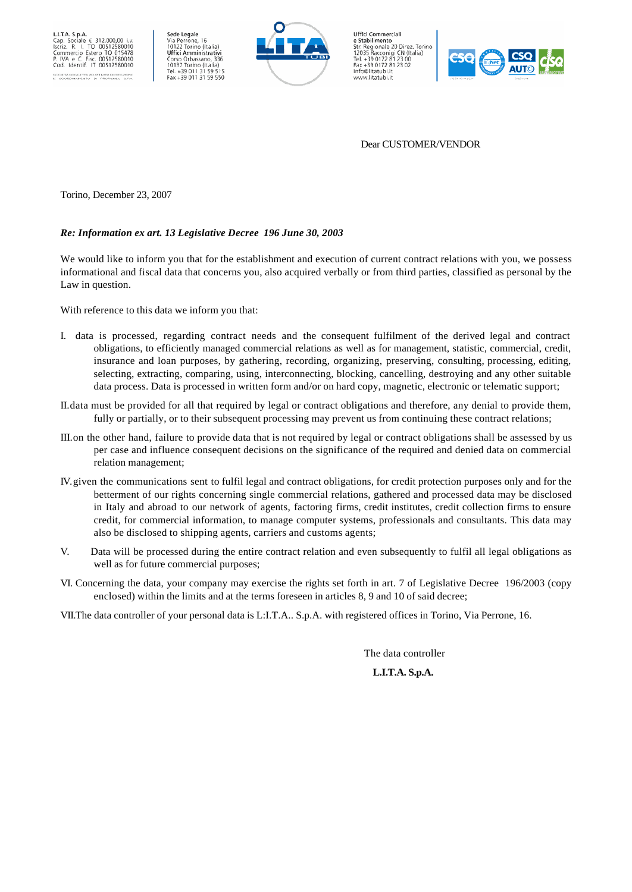



**Uffici Commerciali** Uffici Commerciali<br>
2 ffici Commerciali<br>
Str. Regionale 20 Direz. Torino<br>
12035 Racconigi CN (Italia)<br>
Tel. +39 0172 81 23 00<br>
Fax +39 0172 81 23 02<br>
info@litatubi.it<br>
www.litatubi.it<br>
www.litatubi.it



## Dear CUSTOMER/VENDOR

Torino, December 23, 2007

## *Re: Information ex art. 13 Legislative Decree 196 June 30, 2003*

We would like to inform you that for the establishment and execution of current contract relations with you, we possess informational and fiscal data that concerns you, also acquired verbally or from third parties, classified as personal by the Law in question.

With reference to this data we inform you that:

- I. data is processed, regarding contract needs and the consequent fulfilment of the derived legal and contract obligations, to efficiently managed commercial relations as well as for management, statistic, commercial, credit, insurance and loan purposes, by gathering, recording, organizing, preserving, consulting, processing, editing, selecting, extracting, comparing, using, interconnecting, blocking, cancelling, destroying and any other suitable data process. Data is processed in written form and/or on hard copy, magnetic, electronic or telematic support;
- II.data must be provided for all that required by legal or contract obligations and therefore, any denial to provide them, fully or partially, or to their subsequent processing may prevent us from continuing these contract relations;
- III.on the other hand, failure to provide data that is not required by legal or contract obligations shall be assessed by us per case and influence consequent decisions on the significance of the required and denied data on commercial relation management;
- IV.given the communications sent to fulfil legal and contract obligations, for credit protection purposes only and for the betterment of our rights concerning single commercial relations, gathered and processed data may be disclosed in Italy and abroad to our network of agents, factoring firms, credit institutes, credit collection firms to ensure credit, for commercial information, to manage computer systems, professionals and consultants. This data may also be disclosed to shipping agents, carriers and customs agents;
- V. Data will be processed during the entire contract relation and even subsequently to fulfil all legal obligations as well as for future commercial purposes;
- VI. Concerning the data, your company may exercise the rights set forth in art. 7 of Legislative Decree 196/2003 (copy enclosed) within the limits and at the terms foreseen in articles 8, 9 and 10 of said decree;
- VII.The data controller of your personal data is L:I.T.A.. S.p.A. with registered offices in Torino, Via Perrone, 16.

The data controller

## **L.I.T.A. S.p.A.**